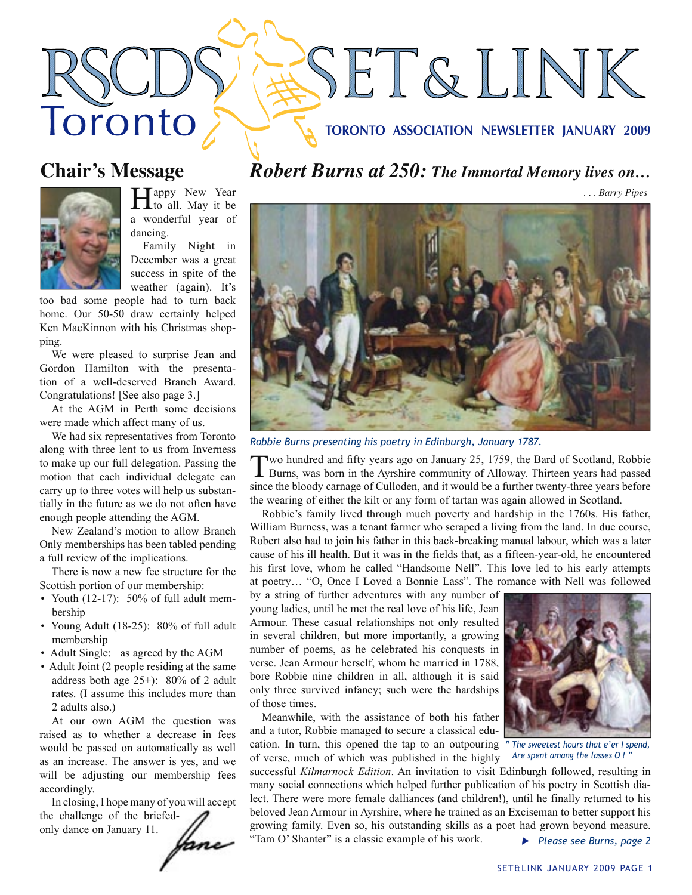### **TORONTO ASSOCIATION NEWSLETTER JANUARY 2009**

SET&LINK

# **Chair's Message**

Toronto



Happy New Year<br>to all. May it be a wonderful year of dancing.

Family Night in December was a great success in spite of the weather (again). It's

too bad some people had to turn back home. Our 50-50 draw certainly helped Ken MacKinnon with his Christmas shopping.

We were pleased to surprise Jean and Gordon Hamilton with the presentation of a well-deserved Branch Award. Congratulations! [See also page 3.]

At the AGM in Perth some decisions were made which affect many of us.

We had six representatives from Toronto along with three lent to us from Inverness to make up our full delegation. Passing the motion that each individual delegate can carry up to three votes will help us substantially in the future as we do not often have enough people attending the AGM.

New Zealand's motion to allow Branch Only memberships has been tabled pending a full review of the implications.

There is now a new fee structure for the Scottish portion of our membership:

- Youth (12-17): 50% of full adult membership
- Young Adult (18-25): 80% of full adult membership
- Adult Single: as agreed by the AGM
- Adult Joint (2 people residing at the same address both age 25+): 80% of 2 adult rates. (I assume this includes more than 2 adults also.)

At our own AGM the question was raised as to whether a decrease in fees would be passed on automatically as well as an increase. The answer is yes, and we will be adjusting our membership fees accordingly.

In closing, I hope many of you will accept the challenge of the briefedonly dance on January 11.

ane



*. . . Barry Pipes*



*Robbie Burns presenting his poetry in Edinburgh, January 1787.*

Two hundred and fifty years ago on January 25, 1759, the Bard of Scotland, Robbie Burns, was born in the Ayrshire community of Alloway. Thirteen years had passed since the bloody carnage of Culloden, and it would be a further twenty-three years before the wearing of either the kilt or any form of tartan was again allowed in Scotland.

Robbie's family lived through much poverty and hardship in the 1760s. His father, William Burness, was a tenant farmer who scraped a living from the land. In due course, Robert also had to join his father in this back-breaking manual labour, which was a later cause of his ill health. But it was in the fields that, as a fifteen-year-old, he encountered his first love, whom he called "Handsome Nell". This love led to his early attempts at poetry… "O, Once I Loved a Bonnie Lass". The romance with Nell was followed

by a string of further adventures with any number of young ladies, until he met the real love of his life, Jean Armour. These casual relationships not only resulted in several children, but more importantly, a growing number of poems, as he celebrated his conquests in verse. Jean Armour herself, whom he married in 1788, bore Robbie nine children in all, although it is said only three survived infancy; such were the hardships of those times.

Meanwhile, with the assistance of both his father and a tutor, Robbie managed to secure a classical education. In turn, this opened the tap to an outpouring of verse, much of which was published in the highly

successful *Kilmarnock Edition*. An invitation to visit Edinburgh followed, resulting in many social connections which helped further publication of his poetry in Scottish dialect. There were more female dalliances (and children!), until he finally returned to his beloved Jean Armour in Ayrshire, where he trained as an Exciseman to better support his growing family. Even so, his outstanding skills as a poet had grown beyond measure. "Tam O' Shanter" is a classic example of his work. **Please see Burns, page 2** 



*" The sweetest hours that e'er I spend, Are spent amang the lasses O ! "*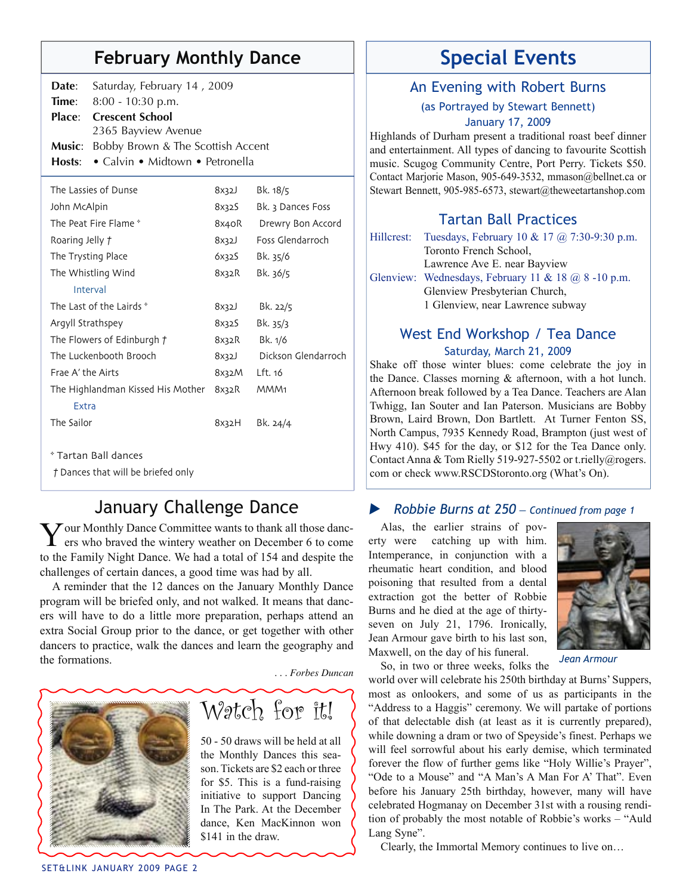# **February Monthly Dance** | | Special Events

| Date:           | Saturday, February 14, 2009                   |       |                   |  |  |
|-----------------|-----------------------------------------------|-------|-------------------|--|--|
| Time:           | 8:00 - 10:30 p.m.                             |       |                   |  |  |
| Place:          | <b>Crescent School</b>                        |       |                   |  |  |
|                 | 2365 Bayview Avenue                           |       |                   |  |  |
| <b>Music:</b>   | Bobby Brown & The Scottish Accent             |       |                   |  |  |
|                 | <b>Hosts:</b> • Calvin • Midtown • Petronella |       |                   |  |  |
|                 | The Lassies of Dunse                          | 8x32J | Bk. 18/5          |  |  |
| John McAlpin    |                                               | 8x32S | Bk. 3 Dances Foss |  |  |
|                 | The Peat Fire Flame *                         | 8x4oR | Drewry Bon Accord |  |  |
| Roaring Jelly t |                                               | 8x32J | Foss Glendarroch  |  |  |
|                 | The Trysting Place                            | 6x32S | Bk. 35/6          |  |  |

| The Whistling Wind                | 8x32R | Bk. 36/5            |
|-----------------------------------|-------|---------------------|
| Interval                          |       |                     |
| The Last of the Lairds *          | 8x32J | Bk. 22/5            |
| Argyll Strathspey                 | 8x32S | Bk. 35/3            |
| The Flowers of Edinburgh $\tau$   | 8x32R | Bk. 1/6             |
| The Luckenbooth Brooch            | 8x32J | Dickson Glendarroch |
| Frae A' the Airts                 | 8x32M | Lft. 16             |
| The Highlandman Kissed His Mother | 8x32R | MMM <sub>1</sub>    |
| Extra                             |       |                     |
| The Sailor                        | 8x32H | Bk. 24/4            |
|                                   |       |                     |
|                                   |       |                     |

\* Tartan Ball dances

*†* Dances that will be briefed only

# January Challenge Dance

Your Monthly Dance Committee wants to thank all those danc-ers who braved the wintery weather on December 6 to come to the Family Night Dance. We had a total of 154 and despite the challenges of certain dances, a good time was had by all.

A reminder that the 12 dances on the January Monthly Dance program will be briefed only, and not walked. It means that dancers will have to do a little more preparation, perhaps attend an extra Social Group prior to the dance, or get together with other dancers to practice, walk the dances and learn the geography and the formations.

 *. . . Forbes Duncan*



# Watch for it!

50 - 50 draws will be held at all the Monthly Dances this season. Tickets are \$2 each or three for \$5. This is a fund-raising initiative to support Dancing In The Park. At the December dance, Ken MacKinnon won \$141 in the draw.

## An Evening with Robert Burns

(as Portrayed by Stewart Bennett) January 17, 2009

Highlands of Durham present a traditional roast beef dinner and entertainment. All types of dancing to favourite Scottish music. Scugog Community Centre, Port Perry. Tickets \$50. Contact Marjorie Mason, 905-649-3532, mmason@bellnet.ca or Stewart Bennett, 905-985-6573, stewart@theweetartanshop.com

# Tartan Ball Practices

|  | Hillcrest: Tuesdays, February 10 & 17 $\omega$ 7:30-9:30 p.m. |
|--|---------------------------------------------------------------|
|  | Toronto French School,                                        |
|  | Lawrence Ave E. near Bayview                                  |
|  | Glenview: Wednesdays, February 11 & 18 $\omega$ 8 -10 p.m.    |
|  | Glenview Presbyterian Church,                                 |
|  | 1 Glenview, near Lawrence subway                              |
|  |                                                               |

### West End Workshop / Tea Dance Saturday, March 21, 2009

Shake off those winter blues: come celebrate the joy in the Dance. Classes morning & afternoon, with a hot lunch. Afternoon break followed by a Tea Dance. Teachers are Alan Twhigg, Ian Souter and Ian Paterson. Musicians are Bobby Brown, Laird Brown, Don Bartlett. At Turner Fenton SS, North Campus, 7935 Kennedy Road, Brampton (just west of Hwy 410). \$45 for the day, or \$12 for the Tea Dance only. Contact Anna & Tom Rielly 519-927-5502 or t.rielly@rogers. com or check www.RSCDStoronto.org (What's On).

### u *Robbie Burns at 250 — Continued from page 1*

Alas, the earlier strains of poverty were catching up with him. Intemperance, in conjunction with a rheumatic heart condition, and blood poisoning that resulted from a dental extraction got the better of Robbie Burns and he died at the age of thirtyseven on July 21, 1796. Ironically, Jean Armour gave birth to his last son, Maxwell, on the day of his funeral.



So, in two or three weeks, folks the

*Jean Armour*

world over will celebrate his 250th birthday at Burns' Suppers, most as onlookers, and some of us as participants in the "Address to a Haggis" ceremony. We will partake of portions of that delectable dish (at least as it is currently prepared), while downing a dram or two of Speyside's finest. Perhaps we will feel sorrowful about his early demise, which terminated forever the flow of further gems like "Holy Willie's Prayer", "Ode to a Mouse" and "A Man's A Man For A' That". Even before his January 25th birthday, however, many will have celebrated Hogmanay on December 31st with a rousing rendition of probably the most notable of Robbie's works – "Auld Lang Syne".

Clearly, the Immortal Memory continues to live on…

SET&LINK JANUARY 2009 PAGE 2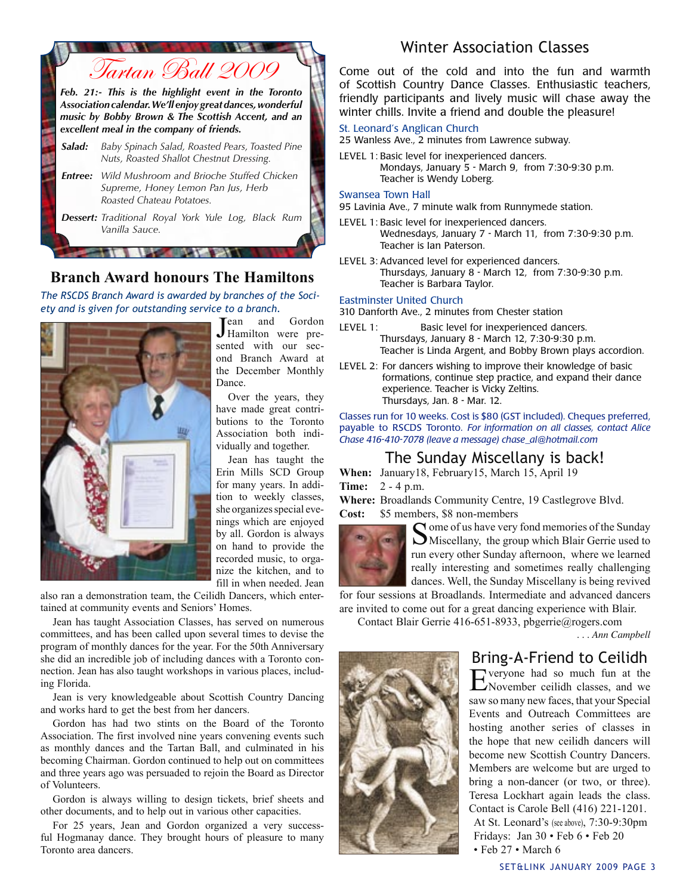

### **Branch Award honours The Hamiltons**

*The RSCDS Branch Award is awarded by branches of the Society and is given for outstanding service to a branch.* 



J ean and Gordon Hamilton were presented with our second Branch Award at the December Monthly Dance.

Over the years, they have made great contributions to the Toronto Association both individually and together.

Jean has taught the Erin Mills SCD Group for many years. In addition to weekly classes, she organizes special evenings which are enjoyed by all. Gordon is always on hand to provide the recorded music, to organize the kitchen, and to fill in when needed. Jean

also ran a demonstration team, the Ceilidh Dancers, which entertained at community events and Seniors' Homes.

Jean has taught Association Classes, has served on numerous committees, and has been called upon several times to devise the program of monthly dances for the year. For the 50th Anniversary she did an incredible job of including dances with a Toronto connection. Jean has also taught workshops in various places, including Florida.

Jean is very knowledgeable about Scottish Country Dancing and works hard to get the best from her dancers.

Gordon has had two stints on the Board of the Toronto Association. The first involved nine years convening events such as monthly dances and the Tartan Ball, and culminated in his becoming Chairman. Gordon continued to help out on committees and three years ago was persuaded to rejoin the Board as Director of Volunteers.

Gordon is always willing to design tickets, brief sheets and other documents, and to help out in various other capacities.

For 25 years, Jean and Gordon organized a very successful Hogmanay dance. They brought hours of pleasure to many Toronto area dancers.

## Winter Association Classes

Come out of the cold and into the fun and warmth of Scottish Country Dance Classes. Enthusiastic teachers, friendly participants and lively music will chase away the winter chills. Invite a friend and double the pleasure!

#### St. Leonard's Anglican Church

25 Wanless Ave., 2 minutes from Lawrence subway.

LEVEL 1: Basic level for inexperienced dancers. Mondays, January 5 - March 9, from 7:30-9:30 p.m. Teacher is Wendy Loberg.

#### Swansea Town Hall

95 Lavinia Ave., 7 minute walk from Runnymede station.

- LEVEL 1: Basic level for inexperienced dancers. Wednesdays, January 7 - March 11, from 7:30-9:30 p.m. Teacher is Ian Paterson.
- LEVEL 3: Advanced level for experienced dancers. Thursdays, January 8 - March 12, from 7:30-9:30 p.m. Teacher is Barbara Taylor.

#### Eastminster United Church

310 Danforth Ave., 2 minutes from Chester station

- LEVEL 1: Basic level for inexperienced dancers. Thursdays, January 8 - March 12, 7:30-9:30 p.m. Teacher is Linda Argent, and Bobby Brown plays accordion.
- LEVEL 2: For dancers wishing to improve their knowledge of basic formations, continue step practice, and expand their dance experience. Teacher is Vicky Zeltins. Thursdays, Jan. 8 - Mar. 12.

Classes run for 10 weeks. Cost is \$80 (GST included). Cheques preferred, payable to RSCDS Toronto. *For information on all classes, contact Alice Chase 416-410-7078 (leave a message) chase\_al@hotmail.com* 

### The Sunday Miscellany is back!

**When:** January18, February15, March 15, April 19 **Time:** 2 - 4 p.m.

**Where:** Broadlands Community Centre, 19 Castlegrove Blvd. **Cost:** \$5 members, \$8 non-members



 $\bigcap$  ome of us have very fond memories of the Sunday Miscellany, the group which Blair Gerrie used to run every other Sunday afternoon, where we learned really interesting and sometimes really challenging dances. Well, the Sunday Miscellany is being revived

for four sessions at Broadlands. Intermediate and advanced dancers are invited to come out for a great dancing experience with Blair.

Contact Blair Gerrie 416-651-8933, pbgerrie@rogers.com

*. . . Ann Campbell*



# Bring-A-Friend to Ceilidh

Everyone had so much fun at the November ceilidh classes, and we saw so many new faces, that your Special Events and Outreach Committees are hosting another series of classes in the hope that new ceilidh dancers will become new Scottish Country Dancers. Members are welcome but are urged to bring a non-dancer (or two, or three). Teresa Lockhart again leads the class. Contact is Carole Bell (416) 221-1201. At St. Leonard's (see above), 7:30-9:30pm Fridays: Jan 30 • Feb 6 • Feb 20 • Feb 27 • March 6

SET&LINK JANUARY 2009 PAGE 3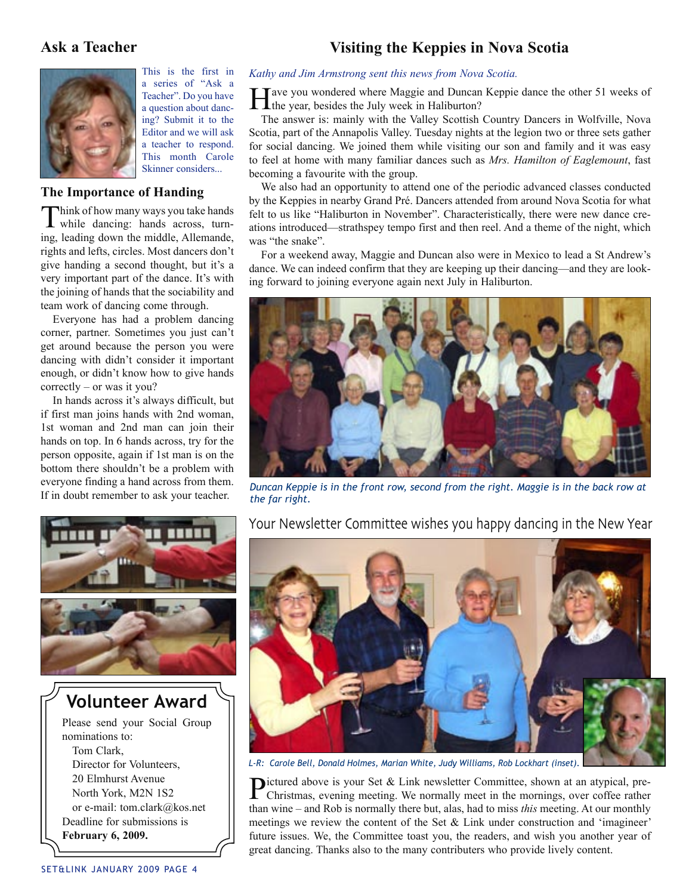### **Ask a Teacher Visiting the Keppies in Nova Scotia**



This is the first in a series of "Ask a Teacher". Do you have a question about dancing? Submit it to the Editor and we will ask a teacher to respond. This month Carole Skinner considers...

#### **The Importance of Handing**

Think of how many ways you take hands<br>while dancing: hands across, turning, leading down the middle, Allemande, rights and lefts, circles. Most dancers don't give handing a second thought, but it's a very important part of the dance. It's with the joining of hands that the sociability and team work of dancing come through.

Everyone has had a problem dancing corner, partner. Sometimes you just can't get around because the person you were dancing with didn't consider it important enough, or didn't know how to give hands correctly – or was it you?

In hands across it's always difficult, but if first man joins hands with 2nd woman, 1st woman and 2nd man can join their hands on top. In 6 hands across, try for the person opposite, again if 1st man is on the bottom there shouldn't be a problem with everyone finding a hand across from them.



Director for Volunteers, 20 Elmhurst Avenue North York, M2N 1S2 or e-mail: tom.clark@kos.net Deadline for submissions is **February 6, 2009.** 

# *Kathy and Jim Armstrong sent this news from Nova Scotia.*

 $\top$ ave you wondered where Maggie and Duncan Keppie dance the other 51 weeks of the year, besides the July week in Haliburton?

The answer is: mainly with the Valley Scottish Country Dancers in Wolfville, Nova Scotia, part of the Annapolis Valley. Tuesday nights at the legion two or three sets gather for social dancing. We joined them while visiting our son and family and it was easy to feel at home with many familiar dances such as *Mrs. Hamilton of Eaglemount*, fast becoming a favourite with the group.

We also had an opportunity to attend one of the periodic advanced classes conducted by the Keppies in nearby Grand Pré. Dancers attended from around Nova Scotia for what felt to us like "Haliburton in November". Characteristically, there were new dance creations introduced—strathspey tempo first and then reel. And a theme of the night, which was "the snake".

For a weekend away, Maggie and Duncan also were in Mexico to lead a St Andrew's dance. We can indeed confirm that they are keeping up their dancing—and they are looking forward to joining everyone again next July in Haliburton.



everyone intuing a nand across from them. *Duncan Keppie is in the front row, second from the right. Maggie is in the back row at* If in doubt remember to ask your teacher. *the far right the far right.* 

Your Newsletter Committee wishes you happy dancing in the New Year



*L-R: Carole Bell, Donald Holmes, Marian White, Judy Williams, Rob Lockhart (inset).*

Pictured above is your Set & Link newsletter Committee, shown at an atypical, pre-<br>Christmas evening meeting We normally Christmas, evening meeting. We normally meet in the mornings, over coffee rather than wine – and Rob is normally there but, alas, had to miss *this* meeting. At our monthly meetings we review the content of the Set & Link under construction and 'imagineer' future issues. We, the Committee toast you, the readers, and wish you another year of great dancing. Thanks also to the many contributers who provide lively content.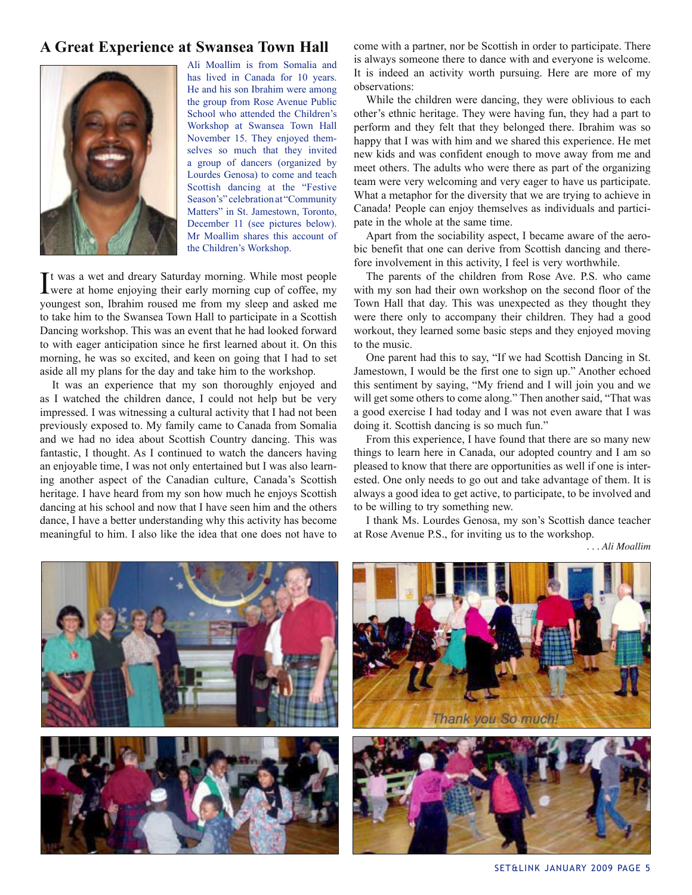### **A Great Experience at Swansea Town Hall**



Ali Moallim is from Somalia and has lived in Canada for 10 years. He and his son Ibrahim were among the group from Rose Avenue Public School who attended the Children's Workshop at Swansea Town Hall November 15. They enjoyed themselves so much that they invited a group of dancers (organized by Lourdes Genosa) to come and teach Scottish dancing at the "Festive Season's" celebration at "Community Matters" in St. Jamestown, Toronto, December 11 (see pictures below). Mr Moallim shares this account of the Children's Workshop.

It was a wet and dreary Saturday morning. While most people were at home enjoying their early morning cup of coffee, my t was a wet and dreary Saturday morning. While most people youngest son, Ibrahim roused me from my sleep and asked me to take him to the Swansea Town Hall to participate in a Scottish Dancing workshop. This was an event that he had looked forward to with eager anticipation since he first learned about it. On this morning, he was so excited, and keen on going that I had to set aside all my plans for the day and take him to the workshop.

It was an experience that my son thoroughly enjoyed and as I watched the children dance, I could not help but be very impressed. I was witnessing a cultural activity that I had not been previously exposed to. My family came to Canada from Somalia and we had no idea about Scottish Country dancing. This was fantastic, I thought. As I continued to watch the dancers having an enjoyable time, I was not only entertained but I was also learning another aspect of the Canadian culture, Canada's Scottish heritage. I have heard from my son how much he enjoys Scottish dancing at his school and now that I have seen him and the others dance, I have a better understanding why this activity has become meaningful to him. I also like the idea that one does not have to

come with a partner, nor be Scottish in order to participate. There is always someone there to dance with and everyone is welcome. It is indeed an activity worth pursuing. Here are more of my observations:

While the children were dancing, they were oblivious to each other's ethnic heritage. They were having fun, they had a part to perform and they felt that they belonged there. Ibrahim was so happy that I was with him and we shared this experience. He met new kids and was confident enough to move away from me and meet others. The adults who were there as part of the organizing team were very welcoming and very eager to have us participate. What a metaphor for the diversity that we are trying to achieve in Canada! People can enjoy themselves as individuals and participate in the whole at the same time.

Apart from the sociability aspect, I became aware of the aerobic benefit that one can derive from Scottish dancing and therefore involvement in this activity, I feel is very worthwhile.

The parents of the children from Rose Ave. P.S. who came with my son had their own workshop on the second floor of the Town Hall that day. This was unexpected as they thought they were there only to accompany their children. They had a good workout, they learned some basic steps and they enjoyed moving to the music.

One parent had this to say, "If we had Scottish Dancing in St. Jamestown, I would be the first one to sign up." Another echoed this sentiment by saying, "My friend and I will join you and we will get some others to come along." Then another said, "That was a good exercise I had today and I was not even aware that I was doing it. Scottish dancing is so much fun."

From this experience, I have found that there are so many new things to learn here in Canada, our adopted country and I am so pleased to know that there are opportunities as well if one is interested. One only needs to go out and take advantage of them. It is always a good idea to get active, to participate, to be involved and to be willing to try something new.

I thank Ms. Lourdes Genosa, my son's Scottish dance teacher at Rose Avenue P.S., for inviting us to the workshop.

*. . . Ali Moallim*